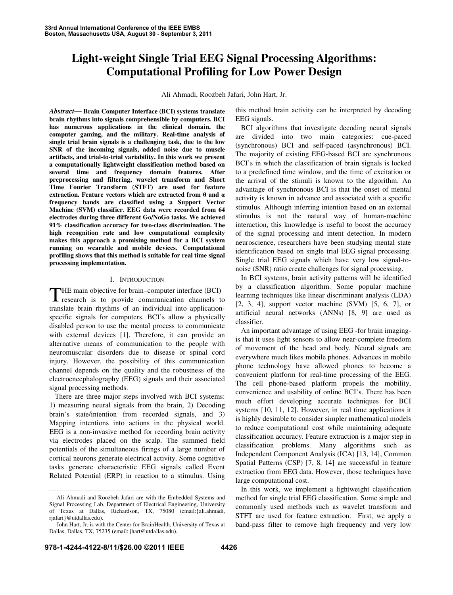# **Light-weight Single Trial EEG Signal Processing Algorithms: Computational Profiling for Low Power Design**

Ali Ahmadi, Roozbeh Jafari, John Hart, Jr.

*Abstract***— Brain Computer Interface (BCI) systems translate brain rhythms into signals comprehensible by computers. BCI has numerous applications in the clinical domain, the computer gaming, and the military. Real-time analysis of single trial brain signals is a challenging task, due to the low SNR of the incoming signals, added noise due to muscle artifacts, and trial-to-trial variability. In this work we present a computationally lightweight classification method based on several time and frequency domain features. After preprocessing and filtering, wavelet transform and Short Time Fourier Transform (STFT) are used for feature extraction. Feature vectors which are extracted from** θ **and** α **frequency bands are classified using a Support Vector Machine (SVM) classifier. EEG data were recorded from 64 electrodes during three different Go/NoGo tasks. We achieved 91% classification accuracy for two-class discrimination. The high recognition rate and low computational complexity makes this approach a promising method for a BCI system running on wearable and mobile devices. Computational profiling shows that this method is suitable for real time signal processing implementation.**

### I. INTRODUCTION

THE main objective for brain–computer interface (BCI)<br>research is to provide communication channels to research is to provide communication channels to translate brain rhythms of an individual into applicationspecific signals for computers. BCI's allow a physically disabled person to use the mental process to communicate with external devices [1]. Therefore, it can provide an alternative means of communication to the people with neuromuscular disorders due to disease or spinal cord injury. However, the possibility of this communication channel depends on the quality and the robustness of the electroencephalography (EEG) signals and their associated signal processing methods.

 There are three major steps involved with BCI systems: 1) measuring neural signals from the brain, 2) Decoding brain's state/intention from recorded signals, and 3) Mapping intentions into actions in the physical world. EEG is a non-invasive method for recording brain activity via electrodes placed on the scalp. The summed field potentials of the simultaneous firings of a large number of cortical neurons generate electrical activity. Some cognitive tasks generate characteristic EEG signals called Event Related Potential (ERP) in reaction to a stimulus. Using

-

this method brain activity can be interpreted by decoding EEG signals.

 BCI algorithms that investigate decoding neural signals are divided into two main categories: cue-paced (synchronous) BCI and self-paced (asynchronous) BCI. The majority of existing EEG-based BCI are synchronous BCI's in which the classification of brain signals is locked to a predefined time window, and the time of excitation or the arrival of the stimuli is known to the algorithm. An advantage of synchronous BCI is that the onset of mental activity is known in advance and associated with a specific stimulus. Although inferring intention based on an external stimulus is not the natural way of human-machine interaction, this knowledge is useful to boost the accuracy of the signal processing and intent detection. In modern neuroscience, researchers have been studying mental state identification based on single trial EEG signal processing. Single trial EEG signals which have very low signal-tonoise (SNR) ratio create challenges for signal processing.

 In BCI systems, brain activity patterns will be identified by a classification algorithm. Some popular machine learning techniques like linear discriminant analysis (LDA) [2, 3, 4], support vector machine (SVM) [5, 6, 7], or artificial neural networks (ANNs) [8, 9] are used as classifier.

 An important advantage of using EEG -for brain imagingis that it uses light sensors to allow near-complete freedom of movement of the head and body. Neural signals are everywhere much likes mobile phones. Advances in mobile phone technology have allowed phones to become a convenient platform for real-time processing of the EEG. The cell phone-based platform propels the mobility, convenience and usability of online BCI's. There has been much effort developing accurate techniques for BCI systems [10, 11, 12]. However, in real time applications it is highly desirable to consider simpler mathematical models to reduce computational cost while maintaining adequate classification accuracy. Feature extraction is a major step in classification problems. Many algorithms such as Independent Component Analysis (ICA) [13, 14], Common Spatial Patterns (CSP) [7, 8, 14] are successful in feature extraction from EEG data. However, those techniques have large computational cost.

 In this work, we implement a lightweight classification method for single trial EEG classification. Some simple and commonly used methods such as wavelet transform and STFT are used for feature extraction. First, we apply a band-pass filter to remove high frequency and very low

Ali Ahmadi and Roozbeh Jafari are with the Embedded Systems and Signal Processing Lab, Department of Electrical Engineering, University of Texas at Dallas, Richardson, TX, 75080 (email:{ali.ahmadi, riafari } @utdallas.edu).

John Hart, Jr. is with the Center for BrainHealth, University of Texas at Dallas, Dallas, TX, 75235 (email: jhart@utdallas.edu).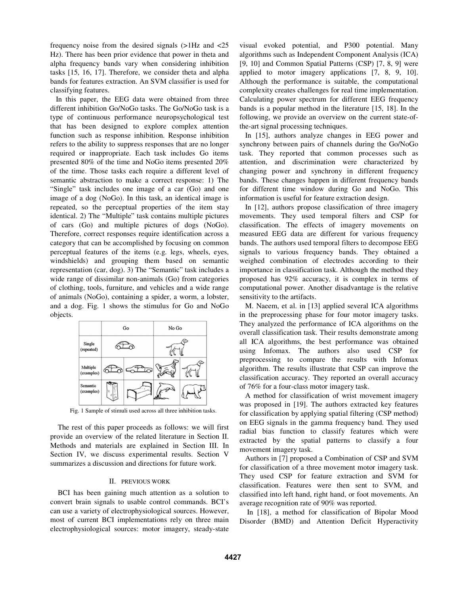frequency noise from the desired signals (>1Hz and <25 Hz). There has been prior evidence that power in theta and alpha frequency bands vary when considering inhibition tasks [15, 16, 17]. Therefore, we consider theta and alpha bands for features extraction. An SVM classifier is used for classifying features.

 In this paper, the EEG data were obtained from three different inhibition Go/NoGo tasks. The Go/NoGo task is a type of continuous performance neuropsychological test that has been designed to explore complex attention function such as response inhibition. Response inhibition refers to the ability to suppress responses that are no longer required or inappropriate. Each task includes Go items presented 80% of the time and NoGo items presented 20% of the time. Those tasks each require a different level of semantic abstraction to make a correct response: 1) The "Single" task includes one image of a car (Go) and one image of a dog (NoGo). In this task, an identical image is repeated, so the perceptual properties of the item stay identical. 2) The "Multiple" task contains multiple pictures of cars (Go) and multiple pictures of dogs (NoGo). Therefore, correct responses require identification across a category that can be accomplished by focusing on common perceptual features of the items (e.g. legs, wheels, eyes, windshields) and grouping them based on semantic representation (car, dog). 3) The "Semantic" task includes a wide range of dissimilar non-animals (Go) from categories of clothing, tools, furniture, and vehicles and a wide range of animals (NoGo), containing a spider, a worm, a lobster, and a dog. Fig. 1 shows the stimulus for Go and NoGo objects.



Fig. 1 Sample of stimuli used across all three inhibition tasks.

 The rest of this paper proceeds as follows: we will first provide an overview of the related literature in Section II. Methods and materials are explained in Section III. In Section IV, we discuss experimental results. Section V summarizes a discussion and directions for future work.

### II. PREVIOUS WORK

BCI has been gaining much attention as a solution to convert brain signals to usable control commands. BCI's can use a variety of electrophysiological sources. However, most of current BCI implementations rely on three main electrophysiological sources: motor imagery, steady-state visual evoked potential, and P300 potential. Many algorithms such as Independent Component Analysis (ICA) [9, 10] and Common Spatial Patterns (CSP) [7, 8, 9] were applied to motor imagery applications [7, 8, 9, 10]. Although the performance is suitable, the computational complexity creates challenges for real time implementation. Calculating power spectrum for different EEG frequency bands is a popular method in the literature [15, 18]. In the following, we provide an overview on the current state-ofthe-art signal processing techniques.

 In [15], authors analyze changes in EEG power and synchrony between pairs of channels during the Go/NoGo task. They reported that common processes such as attention, and discrimination were characterized by changing power and synchrony in different frequency bands. These changes happen in different frequency bands for different time window during Go and NoGo. This information is useful for feature extraction design.

 In [12], authors propose classification of three imagery movements. They used temporal filters and CSP for classification. The effects of imagery movements on measured EEG data are different for various frequency bands. The authors used temporal filters to decompose EEG signals to various frequency bands. They obtained a weighed combination of electrodes according to their importance in classification task. Although the method they proposed has 92% accuracy, it is complex in terms of computational power. Another disadvantage is the relative sensitivity to the artifacts.

 M. Naeem, et al. in [13] applied several ICA algorithms in the preprocessing phase for four motor imagery tasks. They analyzed the performance of ICA algorithms on the overall classification task. Their results demonstrate among all ICA algorithms, the best performance was obtained using Infomax. The authors also used CSP for preprocessing to compare the results with Infomax algorithm. The results illustrate that CSP can improve the classification accuracy. They reported an overall accuracy of 76% for a four-class motor imagery task.

 A method for classification of wrist movement imagery was proposed in [19]. The authors extracted key features for classification by applying spatial filtering (CSP method) on EEG signals in the gamma frequency band. They used radial bias function to classify features which were extracted by the spatial patterns to classify a four movement imagery task.

 Authors in [7] proposed a Combination of CSP and SVM for classification of a three movement motor imagery task. They used CSP for feature extraction and SVM for classification. Features were then sent to SVM, and classified into left hand, right hand, or foot movements. An average recognition rate of 90% was reported.

In [18], a method for classification of Bipolar Mood Disorder (BMD) and Attention Deficit Hyperactivity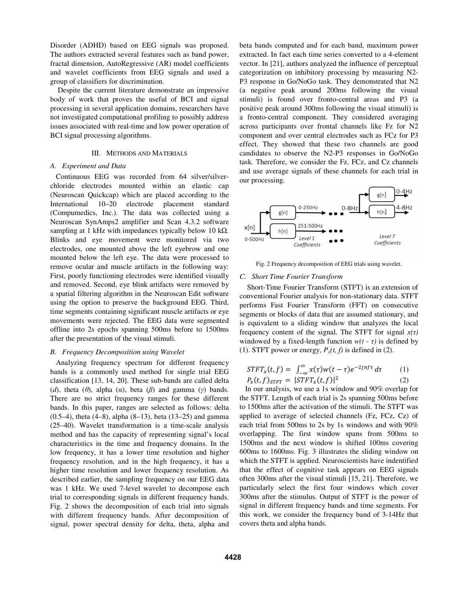Disorder (ADHD) based on EEG signals was proposed. The authors extracted several features such as band power, fractal dimension, AutoRegressive (AR) model coefficients and wavelet coefficients from EEG signals and used a group of classifiers for discrimination.

Despite the current literature demonstrate an impressive body of work that proves the useful of BCI and signal processing in several application domains, researchers have not investigated computational profiling to possibly address issues associated with real-time and low power operation of BCI signal processing algorithms.

### III. METHODS AND MATERIALS

#### *A. Experiment and Data*

 Continuous EEG was recorded from 64 silver/silverchloride electrodes mounted within an elastic cap (Neuroscan Quickcap) which are placed according to the International 10–20 electrode placement standard (Compumedics, Inc.). The data was collected using a Neuroscan SynAmps2 amplifier and Scan 4.3.2 software sampling at 1 kHz with impedances typically below 10 kΩ. Blinks and eye movement were monitored via two electrodes, one mounted above the left eyebrow and one mounted below the left eye. The data were processed to remove ocular and muscle artifacts in the following way: First, poorly functioning electrodes were identified visually and removed. Second, eye blink artifacts were removed by a spatial filtering algorithm in the Neuroscan Edit software using the option to preserve the background EEG. Third, time segments containing significant muscle artifacts or eye movements were rejected. The EEG data were segmented offline into 2s epochs spanning 500ms before to 1500ms after the presentation of the visual stimuli.

#### *B. Frequency Decomposition using Wavelet*

 Analyzing frequency spectrum for different frequency bands is a commonly used method for single trial EEG classification [13, 14, 20]. These sub-bands are called delta (*d*), theta ( $\theta$ ), alpha ( $\alpha$ ), beta ( $\beta$ ) and gamma ( $\gamma$ ) bands. There are no strict frequency ranges for these different bands. In this paper, ranges are selected as follows: delta  $(0.5-4)$ , theta  $(4-8)$ , alpha  $(8-13)$ , beta  $(13-25)$  and gamma (25–40). Wavelet transformation is a time-scale analysis method and has the capacity of representing signal's local characteristics in the time and frequency domains. In the low frequency, it has a lower time resolution and higher frequency resolution, and in the high frequency, it has a higher time resolution and lower frequency resolution. As described earlier, the sampling frequency on our EEG data was 1 kHz. We used 7-level wavelet to decompose each trial to corresponding signals in different frequency bands. Fig. 2 shows the decomposition of each trial into signals with different frequency bands. After decomposition of signal, power spectral density for delta, theta, alpha and beta bands computed and for each band, maximum power extracted. In fact each time series converted to a 4-element vector. In [21], authors analyzed the influence of perceptual categorization on inhibitory processing by measuring N2- P3 response in Go/NoGo task. They demonstrated that N2 (a negative peak around 200ms following the visual stimuli) is found over fronto-central areas and P3 (a positive peak around 300ms following the visual stimuli) is a fronto-central component. They considered averaging across participants over frontal channels like Fz for N2 component and over central electrodes such as FCz for P3 effect. They showed that these two channels are good candidates to observe the N2-P3 responses in Go/NoGo task. Therefore, we consider the Fz, FCz, and Cz channels and use average signals of these channels for each trial in our processing.



Fig. 2 Frequency decomposition of EEG trials using wavelet.

#### *C. Short Time Fourier Transform*

Short-Time Fourier Transform (STFT) is an extension of conventional Fourier analysis for non-stationary data. STFT performs Fast Fourier Transform (FFT) on consecutive segments or blocks of data that are assumed stationary, and is equivalent to a sliding window that analyzes the local frequency content of the signal. The STFT for signal  $x(\tau)$ windowed by a fixed-length function  $w(t - \tau)$  is defined by (1). STFT power or energy,  $P_x(t, f)$  is defined in (2).

$$
STFT_x(t,f) = \int_{-\infty}^{\infty} x(\tau)w(t-\tau)e^{-2j\pi f\tau} d\tau \qquad (1)
$$
  
\n
$$
P_x(t,f)_{STFT} = |STFT_x(t,f)|^2 \qquad (2)
$$

$$
P_{\mathbf{x}}(t,f)_{STFT} = |STFT_{\mathbf{x}}(t,f)|^2
$$

 In our analysis, we use a 1s window and 90% overlap for the STFT. Length of each trial is 2s spanning 500ms before to 1500ms after the activation of the stimuli. The STFT was applied to average of selected channels (Fz, FCz, Cz) of each trial from 500ms to 2s by 1s windows and with 90% overlapping. The first window spans from 500ms to 1500ms and the next window is shifted 100ms covering 600ms to 1600ms. Fig. 3 illustrates the sliding window on which the STFT is applied. Neuroscientists have indentified that the effect of cognitive task appears on EEG signals often 300ms after the visual stimuli [15, 21]. Therefore, we particularly select the first four windows which cover 300ms after the stimulus. Output of STFT is the power of signal in different frequency bands and time segments. For this work, we consider the frequency band of 3-14Hz that covers theta and alpha bands.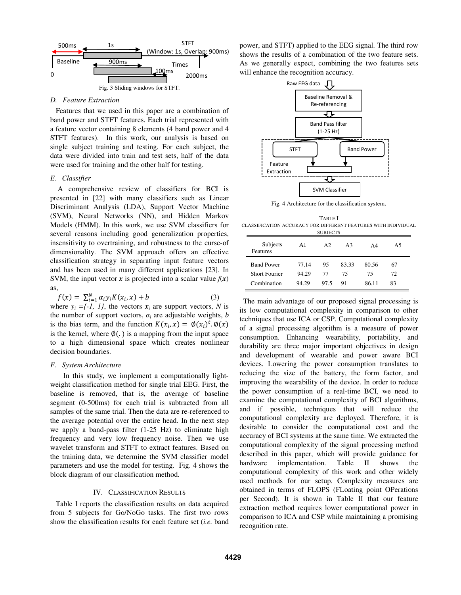

#### *D. Feature Extraction*

 Features that we used in this paper are a combination of band power and STFT features. Each trial represented with a feature vector containing 8 elements (4 band power and 4 STFT features). In this work, our analysis is based on single subject training and testing. For each subject, the data were divided into train and test sets, half of the data were used for training and the other half for testing.

#### *E. Classifier*

A comprehensive review of classifiers for BCI is presented in [22] with many classifiers such as Linear Discriminant Analysis (LDA), Support Vector Machine (SVM), Neural Networks (NN), and Hidden Markov Models (HMM). In this work, we use SVM classifiers for several reasons including good generalization properties, insensitivity to overtraining, and robustness to the curse-of dimensionality. The SVM approach offers an effective classification strategy in separating input feature vectors and has been used in many different applications [23]. In SVM, the input vector  $x$  is projected into a scalar value  $f(x)$ as,

$$
f(x) = \sum_{i=1}^{N} \alpha_i y_i K(x_i, x) + b
$$
 (3)  
where  $y_i = [-1, 1]$ , the vectors  $x_i$  are support vectors, N is  
the number of support vectors,  $\alpha_i$  are adjustable weights, b  
is the bias term, and the function  $K(x_i, x) = \emptyset(x_i)^t \cdot \emptyset(x)$   
is the kernel, where  $\emptyset$ . (i) is a mapping from the input space  
to a high dimensional space which creates nonlinear  
decision boundaries.

#### *F. System Architecture*

 In this study, we implement a computationally lightweight classification method for single trial EEG. First, the baseline is removed, that is, the average of baseline segment (0-500ms) for each trial is subtracted from all samples of the same trial. Then the data are re-referenced to the average potential over the entire head. In the next step we apply a band-pass filter (1-25 Hz) to eliminate high frequency and very low frequency noise. Then we use wavelet transform and STFT to extract features. Based on the training data, we determine the SVM classifier model parameters and use the model for testing. Fig. 4 shows the block diagram of our classification method.

#### IV. CLASSIFICATION RESULTS

 Table I reports the classification results on data acquired from 5 subjects for Go/NoGo tasks. The first two rows show the classification results for each feature set (*i.e.* band power, and STFT) applied to the EEG signal. The third row shows the results of a combination of the two feature sets. As we generally expect, combining the two features sets will enhance the recognition accuracy.



Fig. 4 Architecture for the classification system.

TABLE I CLASSIFICATION ACCURACY FOR DIFFERENT FEATURES WITH INDIVIDUAL

| <b>SUBJECTS</b>      |       |      |                |       |    |
|----------------------|-------|------|----------------|-------|----|
| Subjects<br>Features | A1    | A2   | A <sup>3</sup> | A4    | A5 |
| <b>Band Power</b>    | 77.14 | 95   | 83.33          | 80.56 | 67 |
| <b>Short Fourier</b> | 94.29 | 77   | 75             | 75    | 72 |
| Combination          | 94.29 | 97.5 | 91             | 86.11 | 83 |

 The main advantage of our proposed signal processing is its low computational complexity in comparison to other techniques that use ICA or CSP. Computational complexity of a signal processing algorithm is a measure of power consumption. Enhancing wearability, portability, and durability are three major important objectives in design and development of wearable and power aware BCI devices. Lowering the power consumption translates to reducing the size of the battery, the form factor, and improving the wearability of the device. In order to reduce the power consumption of a real-time BCI, we need to examine the computational complexity of BCI algorithms, and if possible, techniques that will reduce the computational complexity are deployed. Therefore, it is desirable to consider the computational cost and the accuracy of BCI systems at the same time. We extracted the computational complexity of the signal processing method described in this paper, which will provide guidance for hardware implementation. Table II shows the computational complexity of this work and other widely used methods for our setup. Complexity measures are obtained in terms of FLOPS (FLoating point OPerations per Second). It is shown in Table II that our feature extraction method requires lower computational power in comparison to ICA and CSP while maintaining a promising recognition rate.